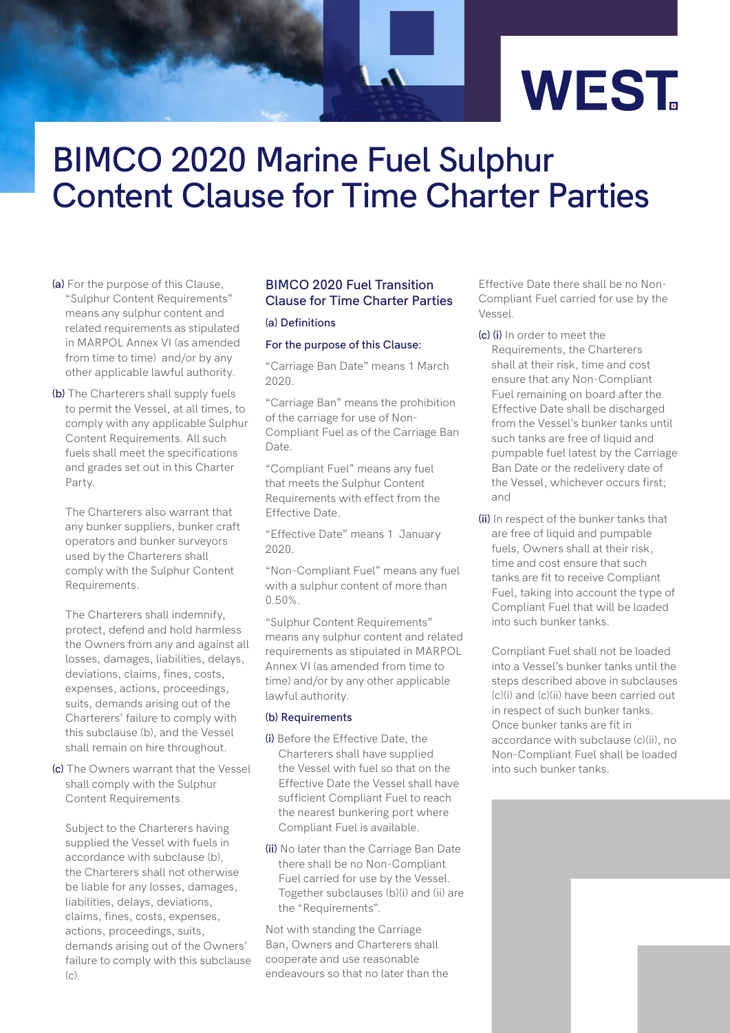

# **BIMCO 2020 Marine Fuel Sulphur Content Clause for Time Charter Parties**

- **(a)** For the purpose of this Clause, "Sulphur Content Requirements" means any sulphur content and related requirements as stipulated in MARPOL Annex VI (as amended from time to time) and/or by any other applicable lawful authority.
- **(b)** The Charterers shall supply fuels to permit the Vessel, at all times, to comply with any applicable Sulphur Content Requirements. All such fuels shall meet the specifications and grades set out in this Charter Party.

The Charterers also warrant that any bunker suppliers, bunker craft operators and bunker surveyors used by the Charterers shall comply with the Sulphur Content Requirements.

The Charterers shall indemnify, protect, defend and hold harmless the Owners from any and against all losses, damages, liabilities, delays, deviations, claims, fines, costs, expenses, actions, proceedings, suits, demands arising out of the Charterers' failure to comply with this subclause (b), and the Vessel shall remain on hire throughout.

**(c)** The Owners warrant that the Vessel shall comply with the Sulphur Content Requirements.

Subject to the Charterers having supplied the Vessel with fuels in accordance with subclause (b), the Charterers shall not otherwise be liable for any losses, damages, liabilities, delays, deviations, claims, fines, costs, expenses, actions, proceedings, suits, demands arising out of the Owners' failure to comply with this subclause (c).

# **BIMCO 2020 Fuel Transition Clause for Time Charter Parties**

#### **(a) Definitions**

## **For the purpose of this Clause:**

"Carriage Ban Date" means 1 March 2020.

"Carriage Ban" means the prohibition of the carriage for use of Non-Compliant Fuel as of the Carriage Ban Date.

"Compliant Fuel" means any fuel that meets the Sulphur Content Requirements with effect from the Effective Date.

"Effective Date" means 1 January 2020.

"Non-Compliant Fuel" means any fuel with a sulphur content of more than 0.50%.

"Sulphur Content Requirements" means any sulphur content and related requirements as stipulated in MARPOL Annex VI (as amended from time to time) and/or by any other applicable lawful authority.

## **(b) Requirements**

- **(i)** Before the Effective Date, the Charterers shall have supplied the Vessel with fuel so that on the Effective Date the Vessel shall have sufficient Compliant Fuel to reach the nearest bunkering port where Compliant Fuel is available.
- **(ii)** No later than the Carriage Ban Date there shall be no Non-Compliant Fuel carried for use by the Vessel. Together subclauses (b)(i) and (ii) are the "Requirements".

Not with standing the Carriage Ban, Owners and Charterers shall cooperate and use reasonable endeavours so that no later than the

Effective Date there shall be no Non-Compliant Fuel carried for use by the Vessel.

- **(c) (i)** In order to meet the
	- Requirements, the Charterers shall at their risk, time and cost ensure that any Non-Compliant Fuel remaining on board after the Effective Date shall be discharged from the Vessel's bunker tanks until such tanks are free of liquid and pumpable fuel latest by the Carriage Ban Date or the redelivery date of the Vessel, whichever occurs first; and
- **(ii)** In respect of the bunker tanks that are free of liquid and pumpable fuels, Owners shall at their risk, time and cost ensure that such tanks are fit to receive Compliant Fuel, taking into account the type of Compliant Fuel that will be loaded into such bunker tanks.

Compliant Fuel shall not be loaded into a Vessel's bunker tanks until the steps described above in subclauses (c)(i) and (c)(ii) have been carried out in respect of such bunker tanks. Once bunker tanks are fit in accordance with subclause (c)(ii), no Non-Compliant Fuel shall be loaded into such bunker tanks.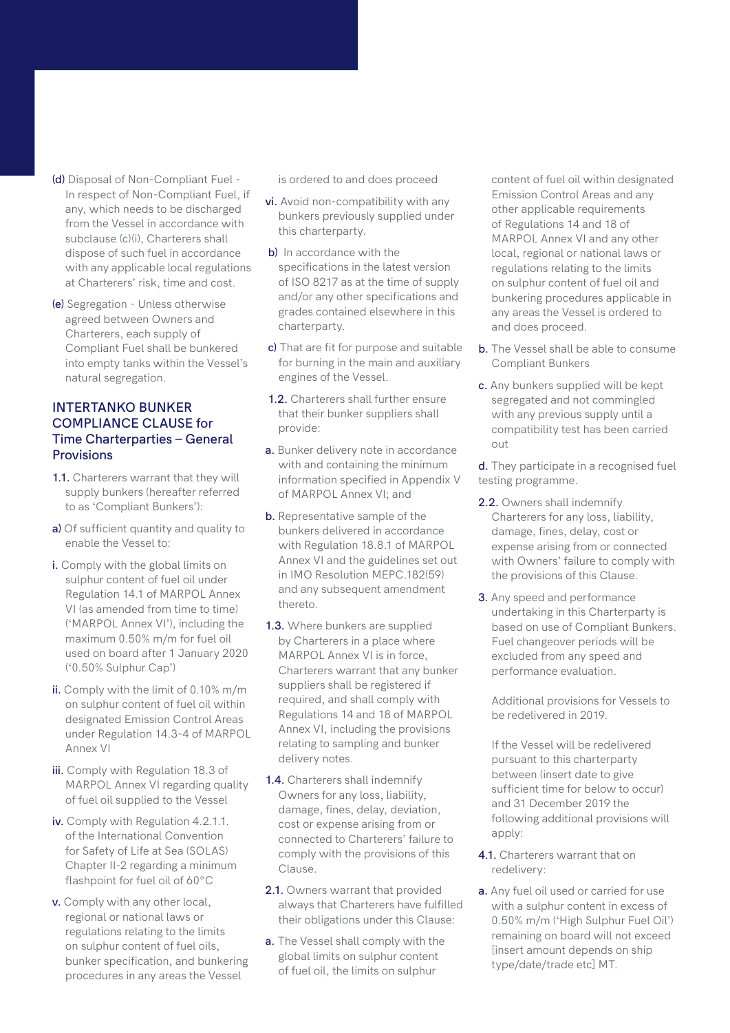- **(d)** Disposal of Non-Compliant Fuel In respect of Non-Compliant Fuel, if any, which needs to be discharged from the Vessel in accordance with subclause (c)(i), Charterers shall dispose of such fuel in accordance with any applicable local regulations at Charterers' risk, time and cost.
- **(e)** Segregation Unless otherwise agreed between Owners and Charterers, each supply of Compliant Fuel shall be bunkered into empty tanks within the Vessel's natural segregation.

# **INTERTANKO BUNKER COMPLIANCE CLAUSE for Time Charterparties – General Provisions**

- **1.1.** Charterers warrant that they will supply bunkers (hereafter referred to as 'Compliant Bunkers'):
- **a)** Of sufficient quantity and quality to enable the Vessel to:
- **i.** Comply with the global limits on sulphur content of fuel oil under Regulation 14.1 of MARPOL Annex VI (as amended from time to time) ('MARPOL Annex VI'), including the maximum 0.50% m/m for fuel oil used on board after 1 January 2020 ('0.50% Sulphur Cap')
- **ii.** Comply with the limit of 0.10% m/m on sulphur content of fuel oil within designated Emission Control Areas under Regulation 14.3-4 of MARPOL Annex VI
- **iii.** Comply with Regulation 18.3 of MARPOL Annex VI regarding quality of fuel oil supplied to the Vessel
- **iv.** Comply with Regulation 4.2.1.1. of the International Convention for Safety of Life at Sea (SOLAS) Chapter II-2 regarding a minimum flashpoint for fuel oil of 60°C
- **v.** Comply with any other local, regional or national laws or regulations relating to the limits on sulphur content of fuel oils, bunker specification, and bunkering procedures in any areas the Vessel

is ordered to and does proceed

- **vi.** Avoid non-compatibility with any bunkers previously supplied under this charterparty.
- **b)** In accordance with the specifications in the latest version of ISO 8217 as at the time of supply and/or any other specifications and grades contained elsewhere in this charterparty.
- **c)** That are fit for purpose and suitable for burning in the main and auxiliary engines of the Vessel.
- **1.2.** Charterers shall further ensure that their bunker suppliers shall provide:
- **a.** Bunker delivery note in accordance with and containing the minimum information specified in Appendix V of MARPOL Annex VI; and
- **b.** Representative sample of the bunkers delivered in accordance with Regulation 18.8.1 of MARPOL Annex VI and the guidelines set out in IMO Resolution MEPC.182(59) and any subsequent amendment thereto.
- **1.3.** Where bunkers are supplied by Charterers in a place where MARPOL Annex VI is in force, Charterers warrant that any bunker suppliers shall be registered if required, and shall comply with Regulations 14 and 18 of MARPOL Annex VI, including the provisions relating to sampling and bunker delivery notes.
- **1.4.** Charterers shall indemnify Owners for any loss, liability, damage, fines, delay, deviation, cost or expense arising from or connected to Charterers' failure to comply with the provisions of this Clause.
- **2.1.** Owners warrant that provided always that Charterers have fulfilled their obligations under this Clause:
- **a.** The Vessel shall comply with the global limits on sulphur content of fuel oil, the limits on sulphur

content of fuel oil within designated Emission Control Areas and any other applicable requirements of Regulations 14 and 18 of MARPOL Annex VI and any other local, regional or national laws or regulations relating to the limits on sulphur content of fuel oil and bunkering procedures applicable in any areas the Vessel is ordered to and does proceed.

- **b.** The Vessel shall be able to consume Compliant Bunkers
- **c.** Any bunkers supplied will be kept segregated and not commingled with any previous supply until a compatibility test has been carried out
- **d.** They participate in a recognised fuel testing programme.
- **2.2.** Owners shall indemnify Charterers for any loss, liability, damage, fines, delay, cost or expense arising from or connected with Owners' failure to comply with the provisions of this Clause.
- **3.** Any speed and performance undertaking in this Charterparty is based on use of Compliant Bunkers. Fuel changeover periods will be excluded from any speed and performance evaluation.

Additional provisions for Vessels to be redelivered in 2019.

If the Vessel will be redelivered pursuant to this charterparty between (insert date to give sufficient time for below to occur) and 31 December 2019 the following additional provisions will apply:

- **4.1.** Charterers warrant that on redelivery:
- **a.** Any fuel oil used or carried for use with a sulphur content in excess of 0.50% m/m ('High Sulphur Fuel Oil') remaining on board will not exceed [insert amount depends on ship type/date/trade etc] MT.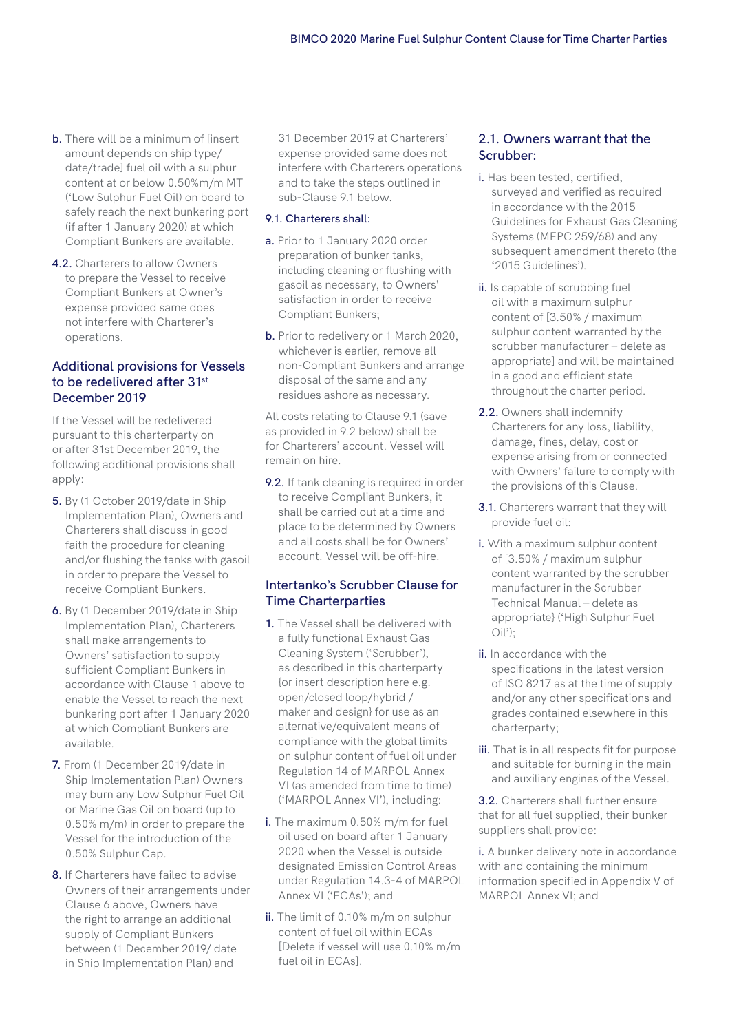- **b.** There will be a minimum of linsert amount depends on ship type/ date/trade] fuel oil with a sulphur content at or below 0.50%m/m MT ('Low Sulphur Fuel Oil) on board to safely reach the next bunkering port (if after 1 January 2020) at which Compliant Bunkers are available.
- **4.2.** Charterers to allow Owners to prepare the Vessel to receive Compliant Bunkers at Owner's expense provided same does not interfere with Charterer's operations.

# **Additional provisions for Vessels to be redelivered after 31st December 2019**

If the Vessel will be redelivered pursuant to this charterparty on or after 31st December 2019, the following additional provisions shall apply:

- **5.** By (1 October 2019/date in Ship Implementation Plan), Owners and Charterers shall discuss in good faith the procedure for cleaning and/or flushing the tanks with gasoil in order to prepare the Vessel to receive Compliant Bunkers.
- **6.** By (1 December 2019/date in Ship Implementation Plan), Charterers shall make arrangements to Owners' satisfaction to supply sufficient Compliant Bunkers in accordance with Clause 1 above to enable the Vessel to reach the next bunkering port after 1 January 2020 at which Compliant Bunkers are available.
- **7.** From (1 December 2019/date in Ship Implementation Plan) Owners may burn any Low Sulphur Fuel Oil or Marine Gas Oil on board (up to 0.50% m/m) in order to prepare the Vessel for the introduction of the 0.50% Sulphur Cap.
- **8.** If Charterers have failed to advise Owners of their arrangements under Clause 6 above, Owners have the right to arrange an additional supply of Compliant Bunkers between (1 December 2019/ date in Ship Implementation Plan) and

31 December 2019 at Charterers' expense provided same does not interfere with Charterers operations and to take the steps outlined in sub-Clause 9.1 below.

#### **9.1. Charterers shall:**

- **a.** Prior to 1 January 2020 order preparation of bunker tanks, including cleaning or flushing with gasoil as necessary, to Owners' satisfaction in order to receive Compliant Bunkers;
- **b.** Prior to redelivery or 1 March 2020, whichever is earlier, remove all non-Compliant Bunkers and arrange disposal of the same and any residues ashore as necessary.

All costs relating to Clause 9.1 (save as provided in 9.2 below) shall be for Charterers' account. Vessel will remain on hire.

**9.2.** If tank cleaning is required in order to receive Compliant Bunkers, it shall be carried out at a time and place to be determined by Owners and all costs shall be for Owners' account. Vessel will be off-hire.

# **Intertanko's Scrubber Clause for Time Charterparties**

- **1.** The Vessel shall be delivered with a fully functional Exhaust Gas Cleaning System ('Scrubber'), as described in this charterparty {or insert description here e.g. open/closed loop/hybrid / maker and design} for use as an alternative/equivalent means of compliance with the global limits on sulphur content of fuel oil under Regulation 14 of MARPOL Annex VI (as amended from time to time) ('MARPOL Annex VI'), including:
- **i.** The maximum 0.50% m/m for fuel oil used on board after 1 January 2020 when the Vessel is outside designated Emission Control Areas under Regulation 14.3-4 of MARPOL Annex VI ('ECAs'); and
- **ii.** The limit of 0.10% m/m on sulphur content of fuel oil within ECAs [Delete if vessel will use 0.10% m/m fuel oil in ECAs].

# **2.1. Owners warrant that the Scrubber:**

- **i.** Has been tested, certified, surveyed and verified as required in accordance with the 2015 Guidelines for Exhaust Gas Cleaning Systems (MEPC 259/68) and any subsequent amendment thereto (the '2015 Guidelines').
- **ii.** Is capable of scrubbing fuel oil with a maximum sulphur content of [3.50% / maximum sulphur content warranted by the scrubber manufacturer – delete as appropriate] and will be maintained in a good and efficient state throughout the charter period.
- **2.2.** Owners shall indemnify Charterers for any loss, liability, damage, fines, delay, cost or expense arising from or connected with Owners' failure to comply with the provisions of this Clause.
- **3.1.** Charterers warrant that they will provide fuel oil:
- **i.** With a maximum sulphur content of [3.50% / maximum sulphur content warranted by the scrubber manufacturer in the Scrubber Technical Manual – delete as appropriate} ('High Sulphur Fuel Oil');
- **ii.** In accordance with the specifications in the latest version of ISO 8217 as at the time of supply and/or any other specifications and grades contained elsewhere in this charterparty;
- **iii.** That is in all respects fit for purpose and suitable for burning in the main and auxiliary engines of the Vessel.

**3.2.** Charterers shall further ensure that for all fuel supplied, their bunker suppliers shall provide:

**i.** A bunker delivery note in accordance with and containing the minimum information specified in Appendix V of MARPOL Annex VI; and